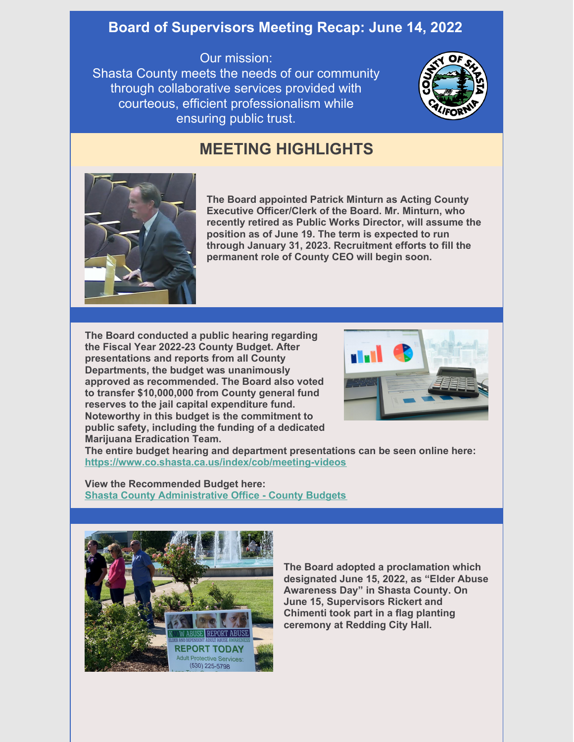## **Board of Supervisors Meeting Recap: June 14, 2022**

## Our mission:

Shasta County meets the needs of our community through collaborative services provided with courteous, efficient professionalism while ensuring public trust.



## **MEETING HIGHLIGHTS**



**The Board appointed Patrick Minturn as Acting County Executive Officer/Clerk of the Board. Mr. Minturn, who recently retired as Public Works Director, will assume the position as of June 19. The term is expected to run through January 31, 2023. Recruitment efforts to fill the permanent role of County CEO will begin soon.**

**The Board conducted a public hearing regarding the Fiscal Year 2022-23 County Budget. After presentations and reports from all County Departments, the budget was unanimously approved as recommended. The Board also voted to transfer \$10,000,000 from County general fund reserves to the jail capital expenditure fund. Noteworthy in this budget is the commitment to public safety, including the funding of a dedicated Marijuana Eradication Team.**



**The entire budget hearing and department presentations can be seen online here: <https://www.co.shasta.ca.us/index/cob/meeting-videos>**

**View the Recommended Budget here: Shasta County [Administrative](https://www.co.shasta.ca.us/index/cao/county-budgets) Office - County Budgets**



**The Board adopted a proclamation which designated June 15, 2022, as "Elder Abuse Awareness Day" in Shasta County. On June 15, Supervisors Rickert and Chimenti took part in a flag planting ceremony at Redding City Hall.**